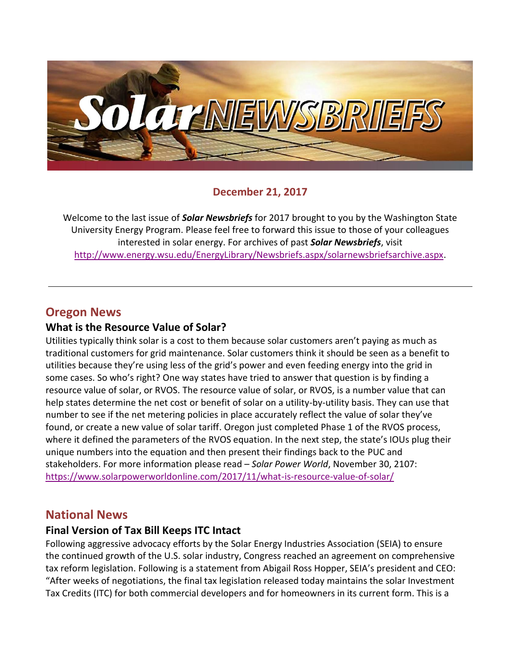

#### **December 21, 2017**

Welcome to the last issue of *Solar Newsbriefs* for 2017 brought to you by the Washington State University Energy Program. Please feel free to forward this issue to those of your colleagues interested in solar energy. For archives of past *Solar Newsbriefs*, visit [http://www.energy.wsu.edu/EnergyLibrary/Newsbriefs.aspx/solarnewsbriefsarchive.aspx.](http://www.energy.wsu.edu/EnergyLibrary/Newsbriefs.aspx/solarnewsbriefsarchive.aspx)

### **Oregon News**

#### **What is the Resource Value of Solar?**

Utilities typically think solar is a cost to them because solar customers aren't paying as much as traditional customers for grid maintenance. Solar customers think it should be seen as a benefit to utilities because they're using less of the grid's power and even feeding energy into the grid in some cases. So who's right? One way states have tried to answer that question is by finding a resource value of solar, or RVOS. The resource value of solar, or RVOS, is a number value that can help states determine the net cost or benefit of solar on a utility-by-utility basis. They can use that number to see if the net metering policies in place accurately reflect the value of solar they've found, or create a new value of solar tariff. [Oregon](http://apps.puc.state.or.us/orders/2017ords/17-232.pdf) just completed Phase 1 of the RVOS process, where it defined the parameters of the RVOS equation. In the next step, the state's IOUs plug their unique numbers into the equation and then present their findings back to the PUC and stakeholders. For more information please read – *Solar Power World*, November 30, 2107: <https://www.solarpowerworldonline.com/2017/11/what-is-resource-value-of-solar/>

#### **National News**

#### **Final Version of Tax Bill Keeps ITC Intact**

Following aggressive advocacy efforts by the Solar Energy Industries Association [\(SEIA\)](http://seia.org/) to ensure the continued growth of the U.S. solar industry, Congress reached an agreement on comprehensive tax reform legislation. Following is a statement from Abigail Ross Hopper, SEIA's president and CEO: "After weeks of negotiations, the final tax legislation released today maintains the solar Investment Tax Credits (ITC) for both commercial developers and for homeowners in its current form. This is a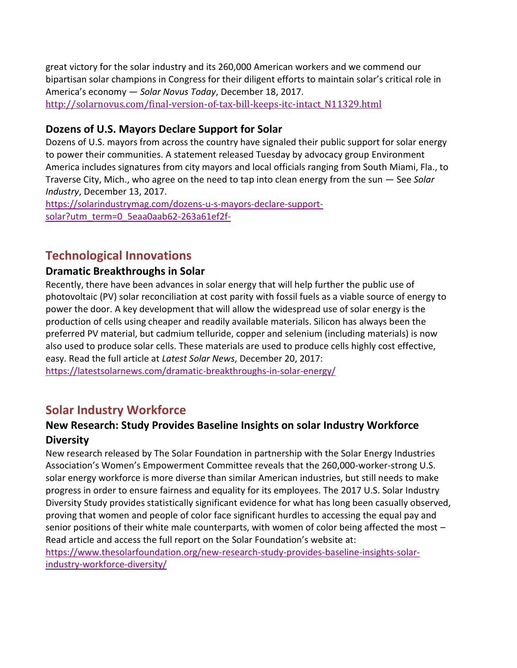great victory for the solar industry and its 260,000 American workers and we commend our bipartisan solar champions in Congress for their diligent efforts to maintain solar's critical role in America's economy — *Solar Novus Today*, December 18, 2017. [http://solarnovus.com/final-version-of-tax-bill-keeps-itc-intact\\_N11329.html](http://solarnovus.com/final-version-of-tax-bill-keeps-itc-intact_N11329.html)

#### **Dozens of U.S. Mayors Declare Support for Solar**

Dozens of U.S. mayors from across the country have signaled their public support for solar energy to power their communities. A [statement](https://environmentamerica.org/resources/ame/mayors-solar-energy) released Tuesday by advocacy group [Environment](https://environmentamerica.org/news/ame/70-us-mayors-embrace-solar-and-call-strong-policies)  [America](https://environmentamerica.org/news/ame/70-us-mayors-embrace-solar-and-call-strong-policies) includes signatures from city mayors and local officials ranging from South Miami, Fla., to Traverse City, Mich., who agree on the need to tap into clean energy from the sun — See *Solar Industry*, December 13, 2017.

[https://solarindustrymag.com/dozens-u-s-mayors-declare-support](https://solarindustrymag.com/dozens-u-s-mayors-declare-support-solar?utm_term=0_5eaa0aab62-263a61ef2f-%20)[solar?utm\\_term=0\\_5eaa0aab62-263a61ef2f-](https://solarindustrymag.com/dozens-u-s-mayors-declare-support-solar?utm_term=0_5eaa0aab62-263a61ef2f-%20)

## **Technological Innovations**

#### **Dramatic Breakthroughs in Solar**

Recently, there have been advances in solar energy that will help further the public use of photovoltaic (PV) solar reconciliation at cost parity with fossil fuels as a viable source of energy to power the door. A key development that will allow the widespread use of solar energy is the production of cells using cheaper and readily available materials. Silicon has always been the preferred PV material, but cadmium telluride, copper and selenium (including materials) is now also used to produce solar cells. These materials are used to produce cells highly cost effective, easy. Read the full article at *Latest Solar News*, December 20, 2017:

<https://latestsolarnews.com/dramatic-breakthroughs-in-solar-energy/>

# **Solar Industry Workforce**

### **New Research: Study Provides Baseline Insights on solar Industry Workforce Diversity**

New research released by The Solar Foundation in partnership with the Solar Energy Industries Association's Women's Empowerment Committee reveals that the 260,000-worker-strong U.S. solar energy workforce is more diverse than similar American industries, but still needs to make progress in order to ensure fairness and equality for its employees. The 2017 U.S. Solar Industry Diversity Study provides statistically significant evidence for what has long been casually observed, proving that women and people of color face significant hurdles to accessing the equal pay and senior positions of their white male counterparts, with women of color being affected the most – Read article and access the full report on the Solar Foundation's website at:

[https://www.thesolarfoundation.org/new-research-study-provides-baseline-insights-solar](https://www.thesolarfoundation.org/new-research-study-provides-baseline-insights-solar-industry-workforce-diversity/)[industry-workforce-diversity/](https://www.thesolarfoundation.org/new-research-study-provides-baseline-insights-solar-industry-workforce-diversity/)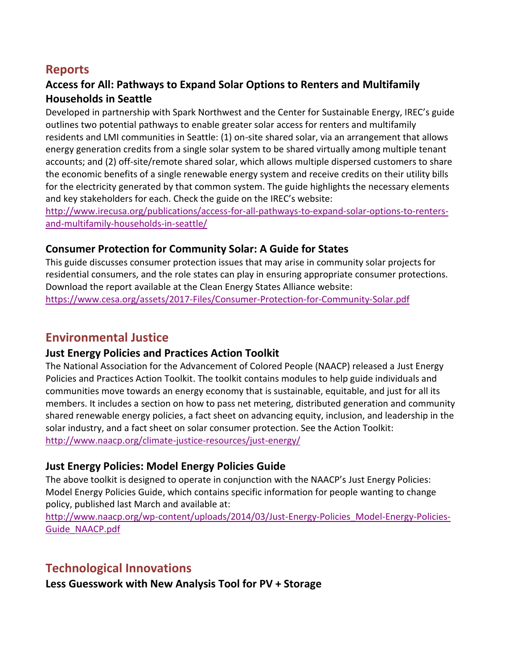## **Reports**

### **Access for All: Pathways to Expand Solar Options to Renters and Multifamily Households in Seattle**

Developed in partnership with Spark Northwest and the Center for Sustainable Energy, IREC's guide outlines two potential pathways to enable greater solar access for renters and multifamily residents and LMI communities in Seattle: (1) on-site shared solar, via an arrangement that allows energy generation credits from a single solar system to be shared virtually among multiple tenant accounts; and (2) off-site/remote shared solar, which allows multiple dispersed customers to share the economic benefits of a single renewable energy system and receive credits on their utility bills for the electricity generated by that common system. The guide highlights the necessary elements and key stakeholders for each. Check the guide on the IREC's website:

[http://www.irecusa.org/publications/access-for-all-pathways-to-expand-solar-options-to-renters](http://www.irecusa.org/publications/access-for-all-pathways-to-expand-solar-options-to-renters-and-multifamily-households-in-seattle/)[and-multifamily-households-in-seattle/](http://www.irecusa.org/publications/access-for-all-pathways-to-expand-solar-options-to-renters-and-multifamily-households-in-seattle/)

#### **Consumer Protection for Community Solar: A Guide for States**

This guide discusses consumer protection issues that may arise in community solar projects for residential consumers, and the role states can play in ensuring appropriate consumer protections. Download the report available at the Clean Energy States Alliance website: <https://www.cesa.org/assets/2017-Files/Consumer-Protection-for-Community-Solar.pdf>

### **Environmental Justice**

#### **Just Energy Policies and Practices Action Toolkit**

The National Association for the Advancement of Colored People (NAACP) released a [Just Energy](http://click.icptrack.com/icp/relay.php?r=98026810&msgid=463962&act=KF2U&c=1164501&destination=http%3A%2F%2Fwww.naacp.org%2Fclimate-justice-resources%2Fjust-energy%2F)  [Policies and Practices Action Toolkit.](http://click.icptrack.com/icp/relay.php?r=98026810&msgid=463962&act=KF2U&c=1164501&destination=http%3A%2F%2Fwww.naacp.org%2Fclimate-justice-resources%2Fjust-energy%2F) The toolkit contains modules to help guide individuals and communities move towards an energy economy that is sustainable, equitable, and just for all its members. It includes a section on how to pass net metering, distributed generation and community shared renewable energy policies, a fact sheet on advancing equity, inclusion, and leadership in the solar industry, and a fact sheet on solar consumer protection. See the Action Toolkit: <http://www.naacp.org/climate-justice-resources/just-energy/>

#### **Just Energy Policies: Model Energy Policies Guide**

The above toolkit is designed to operate in conjunction with the NAACP's [Just Energy Policies:](http://click.icptrack.com/icp/relay.php?r=98026810&msgid=463962&act=KF2U&c=1164501&destination=http%3A%2F%2Fwww.naacp.org%2Fwp-content%2Fuploads%2F2014%2F03%2FJust-Energy-Policies_Model-Energy-Policies-Guide_NAACP.pdf)  [Model Energy Policies Guide,](http://click.icptrack.com/icp/relay.php?r=98026810&msgid=463962&act=KF2U&c=1164501&destination=http%3A%2F%2Fwww.naacp.org%2Fwp-content%2Fuploads%2F2014%2F03%2FJust-Energy-Policies_Model-Energy-Policies-Guide_NAACP.pdf) which contains specific information for people wanting to change policy, published last March and available at:

[http://www.naacp.org/wp-content/uploads/2014/03/Just-Energy-Policies\\_Model-Energy-Policies-](http://www.naacp.org/wp-content/uploads/2014/03/Just-Energy-Policies_Model-Energy-Policies-Guide_NAACP.pdf)[Guide\\_NAACP.pdf](http://www.naacp.org/wp-content/uploads/2014/03/Just-Energy-Policies_Model-Energy-Policies-Guide_NAACP.pdf)

## **Technological Innovations**

**Less Guesswork with New Analysis Tool for PV + Storage**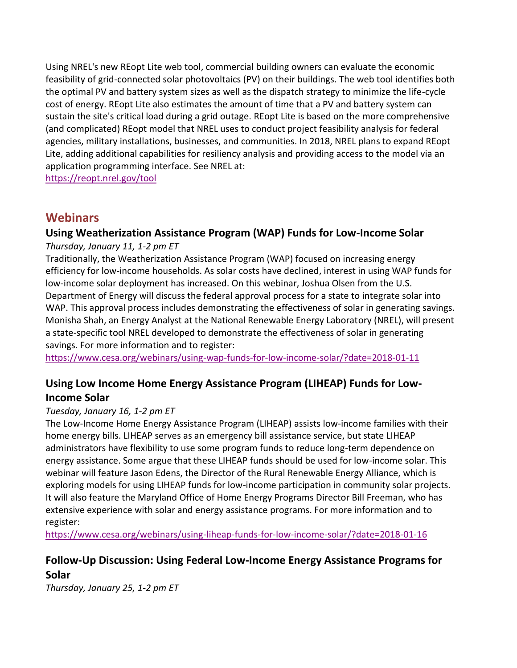Using NREL's new [REopt Lite web tool,](https://reopt.nrel.gov/tool) commercial building owners can evaluate the economic feasibility of grid-connected solar photovoltaics (PV) on their buildings. The web tool identifies both the optimal PV and battery system sizes as well as the dispatch strategy to minimize the life-cycle cost of energy. REopt Lite also estimates the amount of time that a PV and battery system can sustain the site's critical load during a grid outage. REopt Lite is based on the more comprehensive (and complicated) REopt model that NREL uses to conduct project feasibility analysis for federal agencies, military installations, businesses, and communities. In 2018, NREL plans to expand REopt Lite, adding additional capabilities for resiliency analysis and providing access to the model via an application programming interface. See NREL at:

<https://reopt.nrel.gov/tool>

### **Webinars**

# **Using Weatherization Assistance Program (WAP) Funds for Low-Income Solar**

*Thursday, January 11, 1-2 pm ET*

Traditionally, the Weatherization Assistance Program (WAP) focused on increasing energy efficiency for low-income households. As solar costs have declined, interest in using WAP funds for low-income solar deployment has increased. On this webinar, Joshua Olsen from the U.S. Department of Energy will discuss the federal approval process for a state to integrate solar into WAP. This approval process includes demonstrating the effectiveness of solar in generating savings. Monisha Shah, an Energy Analyst at the National Renewable Energy Laboratory (NREL), will present a state-specific tool NREL developed to demonstrate the effectiveness of solar in generating savings. For more information and to register:

<https://www.cesa.org/webinars/using-wap-funds-for-low-income-solar/?date=2018-01-11>

#### **Using Low Income Home Energy Assistance Program (LIHEAP) Funds for Low-Income Solar**

#### *Tuesday, January 16, 1-2 pm ET*

The Low-Income Home Energy Assistance Program (LIHEAP) assists low-income families with their home energy bills. LIHEAP serves as an emergency bill assistance service, but state LIHEAP administrators have flexibility to use some program funds to reduce long-term dependence on energy assistance. Some argue that these LIHEAP funds should be used for low-income solar. This webinar will feature Jason Edens, the Director of the Rural Renewable Energy Alliance, which is exploring models for using LIHEAP funds for low-income participation in community solar projects. It will also feature the Maryland Office of Home Energy Programs Director Bill Freeman, who has extensive experience with solar and energy assistance programs. For more information and to register:

<https://www.cesa.org/webinars/using-liheap-funds-for-low-income-solar/?date=2018-01-16>

# **Follow-Up Discussion: Using Federal Low-Income Energy Assistance Programs for Solar**

*Thursday, January 25, 1-2 pm ET*